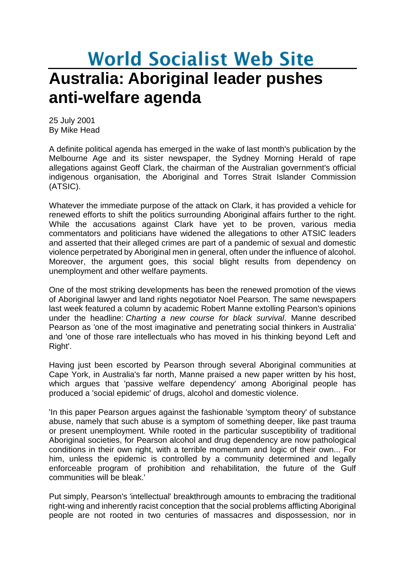## **World Socialist Web Site Australia: Aboriginal leader pushes anti-welfare agenda**

25 July 2001 By Mike Head

A definite political agenda has emerged in the wake of last month's publication by the Melbourne Age and its sister newspaper, the Sydney Morning Herald of rape allegations against Geoff Clark, the chairman of the Australian government's official indigenous organisation, the Aboriginal and Torres Strait Islander Commission (ATSIC).

Whatever the immediate purpose of the attack on Clark, it has provided a vehicle for renewed efforts to shift the politics surrounding Aboriginal affairs further to the right. While the accusations against Clark have yet to be proven, various media commentators and politicians have widened the allegations to other ATSIC leaders and asserted that their alleged crimes are part of a pandemic of sexual and domestic violence perpetrated by Aboriginal men in general, often under the influence of alcohol. Moreover, the argument goes, this social blight results from dependency on unemployment and other welfare payments.

One of the most striking developments has been the renewed promotion of the views of Aboriginal lawyer and land rights negotiator Noel Pearson. The same newspapers last week featured a column by academic Robert Manne extolling Pearson's opinions under the headline: *Charting a new course for black survival*. Manne described Pearson as 'one of the most imaginative and penetrating social thinkers in Australia' and 'one of those rare intellectuals who has moved in his thinking beyond Left and Right'.

Having just been escorted by Pearson through several Aboriginal communities at Cape York, in Australia's far north, Manne praised a new paper written by his host, which argues that 'passive welfare dependency' among Aboriginal people has produced a 'social epidemic' of drugs, alcohol and domestic violence.

'In this paper Pearson argues against the fashionable 'symptom theory' of substance abuse, namely that such abuse is a symptom of something deeper, like past trauma or present unemployment. While rooted in the particular susceptibility of traditional Aboriginal societies, for Pearson alcohol and drug dependency are now pathological conditions in their own right, with a terrible momentum and logic of their own... For him, unless the epidemic is controlled by a community determined and legally enforceable program of prohibition and rehabilitation, the future of the Gulf communities will be bleak.'

Put simply, Pearson's 'intellectual' breakthrough amounts to embracing the traditional right-wing and inherently racist conception that the social problems afflicting Aboriginal people are not rooted in two centuries of massacres and dispossession, nor in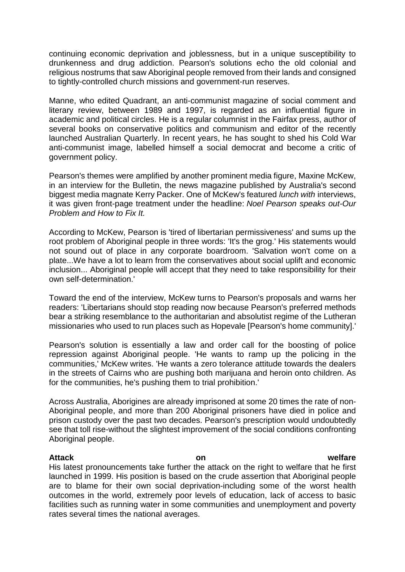continuing economic deprivation and joblessness, but in a unique susceptibility to drunkenness and drug addiction. Pearson's solutions echo the old colonial and religious nostrums that saw Aboriginal people removed from their lands and consigned to tightly-controlled church missions and government-run reserves.

Manne, who edited Quadrant, an anti-communist magazine of social comment and literary review, between 1989 and 1997, is regarded as an influential figure in academic and political circles. He is a regular columnist in the Fairfax press, author of several books on conservative politics and communism and editor of the recently launched Australian Quarterly. In recent years, he has sought to shed his Cold War anti-communist image, labelled himself a social democrat and become a critic of government policy.

Pearson's themes were amplified by another prominent media figure, Maxine McKew, in an interview for the Bulletin, the news magazine published by Australia's second biggest media magnate Kerry Packer. One of McKew's featured *lunch with* interviews, it was given front-page treatment under the headline: *Noel Pearson speaks out-Our Problem and How to Fix It.*

According to McKew, Pearson is 'tired of libertarian permissiveness' and sums up the root problem of Aboriginal people in three words: 'It's the grog.' His statements would not sound out of place in any corporate boardroom. 'Salvation won't come on a plate...We have a lot to learn from the conservatives about social uplift and economic inclusion... Aboriginal people will accept that they need to take responsibility for their own self-determination.'

Toward the end of the interview, McKew turns to Pearson's proposals and warns her readers: 'Libertarians should stop reading now because Pearson's preferred methods bear a striking resemblance to the authoritarian and absolutist regime of the Lutheran missionaries who used to run places such as Hopevale [Pearson's home community].'

Pearson's solution is essentially a law and order call for the boosting of police repression against Aboriginal people. 'He wants to ramp up the policing in the communities,' McKew writes. 'He wants a zero tolerance attitude towards the dealers in the streets of Cairns who are pushing both marijuana and heroin onto children. As for the communities, he's pushing them to trial prohibition.'

Across Australia, Aborigines are already imprisoned at some 20 times the rate of non-Aboriginal people, and more than 200 Aboriginal prisoners have died in police and prison custody over the past two decades. Pearson's prescription would undoubtedly see that toll rise-without the slightest improvement of the social conditions confronting Aboriginal people.

## **Attack on welfare**

His latest pronouncements take further the attack on the right to welfare that he first launched in 1999. His position is based on the crude assertion that Aboriginal people are to blame for their own social deprivation-including some of the worst health outcomes in the world, extremely poor levels of education, lack of access to basic facilities such as running water in some communities and unemployment and poverty rates several times the national averages.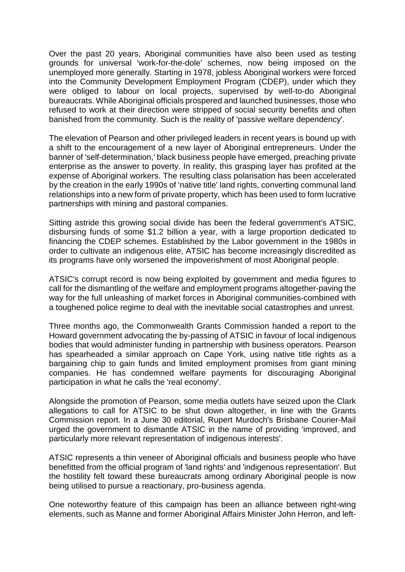Over the past 20 years, Aboriginal communities have also been used as testing grounds for universal 'work-for-the-dole' schemes, now being imposed on the unemployed more generally. Starting in 1978, jobless Aboriginal workers were forced into the Community Development Employment Program (CDEP), under which they were obliged to labour on local projects, supervised by well-to-do Aboriginal bureaucrats. While Aboriginal officials prospered and launched businesses, those who refused to work at their direction were stripped of social security benefits and often banished from the community. Such is the reality of 'passive welfare dependency'.

The elevation of Pearson and other privileged leaders in recent years is bound up with a shift to the encouragement of a new layer of Aboriginal entrepreneurs. Under the banner of 'self-determination,' black business people have emerged, preaching private enterprise as the answer to poverty. In reality, this grasping layer has profited at the expense of Aboriginal workers. The resulting class polarisation has been accelerated by the creation in the early 1990s of 'native title' land rights, converting communal land relationships into a new form of private property, which has been used to form lucrative partnerships with mining and pastoral companies.

Sitting astride this growing social divide has been the federal government's ATSIC, disbursing funds of some \$1.2 billion a year, with a large proportion dedicated to financing the CDEP schemes. Established by the Labor government in the 1980s in order to cultivate an indigenous elite, ATSIC has become increasingly discredited as its programs have only worsened the impoverishment of most Aboriginal people.

ATSIC's corrupt record is now being exploited by government and media figures to call for the dismantling of the welfare and employment programs altogether-paving the way for the full unleashing of market forces in Aboriginal communities-combined with a toughened police regime to deal with the inevitable social catastrophes and unrest.

Three months ago, the Commonwealth Grants Commission handed a report to the Howard government advocating the by-passing of ATSIC in favour of local indigenous bodies that would administer funding in partnership with business operators. Pearson has spearheaded a similar approach on Cape York, using native title rights as a bargaining chip to gain funds and limited employment promises from giant mining companies. He has condemned welfare payments for discouraging Aboriginal participation in what he calls the 'real economy'.

Alongside the promotion of Pearson, some media outlets have seized upon the Clark allegations to call for ATSIC to be shut down altogether, in line with the Grants Commission report. In a June 30 editorial, Rupert Murdoch's Brisbane Courier-Mail urged the government to dismantle ATSIC in the name of providing 'improved, and particularly more relevant representation of indigenous interests'.

ATSIC represents a thin veneer of Aboriginal officials and business people who have benefitted from the official program of 'land rights' and 'indigenous representation'. But the hostility felt toward these bureaucrats among ordinary Aboriginal people is now being utilised to pursue a reactionary, pro-business agenda.

One noteworthy feature of this campaign has been an alliance between right-wing elements, such as Manne and former Aboriginal Affairs Minister John Herron, and left